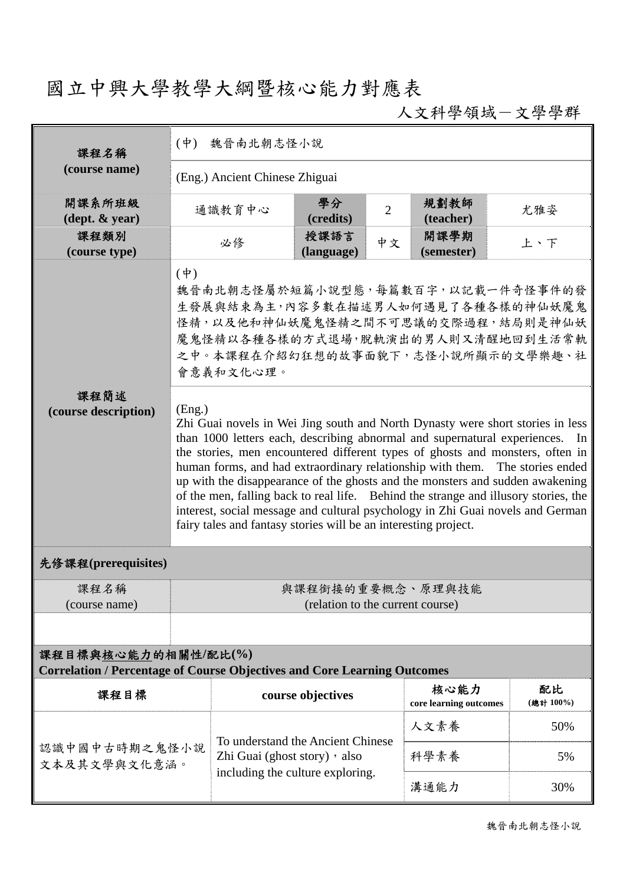## 國立中興大學教學大綱暨核心能力對應表

人文科學領域-文學學群

| 課程名稱                                       | $($ 中 $)$<br>魏晉南北朝志怪小說                                                                                                                                                                                                                                                                                                                                                                                                                                                                                                                                                                                                                                                    |                                                                                                        |                    |                |                                |                |  |
|--------------------------------------------|---------------------------------------------------------------------------------------------------------------------------------------------------------------------------------------------------------------------------------------------------------------------------------------------------------------------------------------------------------------------------------------------------------------------------------------------------------------------------------------------------------------------------------------------------------------------------------------------------------------------------------------------------------------------------|--------------------------------------------------------------------------------------------------------|--------------------|----------------|--------------------------------|----------------|--|
| (course name)                              | (Eng.) Ancient Chinese Zhiguai                                                                                                                                                                                                                                                                                                                                                                                                                                                                                                                                                                                                                                            |                                                                                                        |                    |                |                                |                |  |
| 開課系所班級<br>$(\text{dept.} \& \text{ year})$ |                                                                                                                                                                                                                                                                                                                                                                                                                                                                                                                                                                                                                                                                           | 通識教育中心                                                                                                 | 學分<br>(credits)    | $\overline{2}$ | 規劃教師<br>(teacher)              | 尤雅姿            |  |
| 課程類別<br>(course type)                      |                                                                                                                                                                                                                                                                                                                                                                                                                                                                                                                                                                                                                                                                           | 必修                                                                                                     | 授課語言<br>(language) | 中文             | 開課學期<br>(semester)             | 上、下            |  |
| 課程簡述<br>(course description)               | $(\dot{\Psi})$<br>魏晉南北朝志怪屬於短篇小說型態,每篇數百字,以記載一件奇怪事件的發<br>生發展與結束為主,內容多數在描述男人如何遇見了各種各樣的神仙妖魔鬼<br>怪精,以及他和神仙妖魔鬼怪精之間不可思議的交際過程,結局則是神仙妖<br>魔鬼怪精以各種各樣的方式退場,脫軌演出的男人則又清醒地回到生活常軌<br>之中。本課程在介紹幻狂想的故事面貌下,志怪小說所顯示的文學樂趣、社<br>會意義和文化心理。                                                                                                                                                                                                                                                                                                                                                                                                                                                      |                                                                                                        |                    |                |                                |                |  |
|                                            | (Eng.)<br>Zhi Guai novels in Wei Jing south and North Dynasty were short stories in less<br>than 1000 letters each, describing abnormal and supernatural experiences.<br>In<br>the stories, men encountered different types of ghosts and monsters, often in<br>human forms, and had extraordinary relationship with them. The stories ended<br>up with the disappearance of the ghosts and the monsters and sudden awakening<br>of the men, falling back to real life. Behind the strange and illusory stories, the<br>interest, social message and cultural psychology in Zhi Guai novels and German<br>fairy tales and fantasy stories will be an interesting project. |                                                                                                        |                    |                |                                |                |  |
| 先修課程(prerequisites)                        |                                                                                                                                                                                                                                                                                                                                                                                                                                                                                                                                                                                                                                                                           |                                                                                                        |                    |                |                                |                |  |
| 课程名稱<br>(course name)                      | 與課程銜接的重要概念、原理與技能<br>(relation to the current course)                                                                                                                                                                                                                                                                                                                                                                                                                                                                                                                                                                                                                      |                                                                                                        |                    |                |                                |                |  |
|                                            |                                                                                                                                                                                                                                                                                                                                                                                                                                                                                                                                                                                                                                                                           |                                                                                                        |                    |                |                                |                |  |
|                                            | 課程目標與核心能力的相關性/配比(%)<br><b>Correlation / Percentage of Course Objectives and Core Learning Outcomes</b>                                                                                                                                                                                                                                                                                                                                                                                                                                                                                                                                                                    |                                                                                                        |                    |                |                                |                |  |
| 課程目標                                       |                                                                                                                                                                                                                                                                                                                                                                                                                                                                                                                                                                                                                                                                           |                                                                                                        | course objectives  |                | 核心能力<br>core learning outcomes | 配比<br>(總計100%) |  |
|                                            |                                                                                                                                                                                                                                                                                                                                                                                                                                                                                                                                                                                                                                                                           |                                                                                                        |                    |                | 人文素養                           | 50%            |  |
| 認識中國中古時期之鬼怪小說<br>文本及其文學與文化意涵。              |                                                                                                                                                                                                                                                                                                                                                                                                                                                                                                                                                                                                                                                                           | To understand the Ancient Chinese<br>Zhi Guai (ghost story) , also<br>including the culture exploring. |                    |                | 科學素養                           | 5%             |  |
|                                            |                                                                                                                                                                                                                                                                                                                                                                                                                                                                                                                                                                                                                                                                           |                                                                                                        |                    |                | 溝通能力                           | 30%            |  |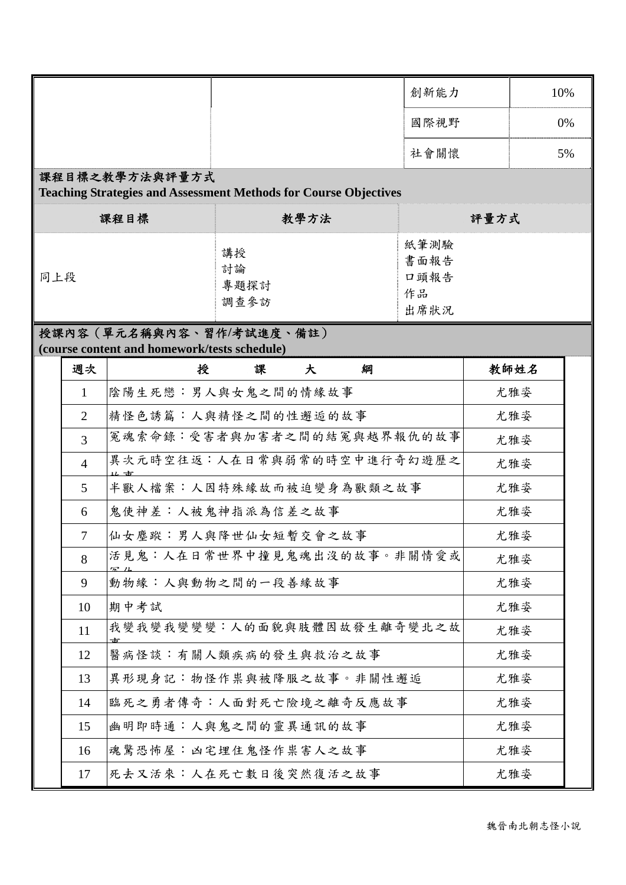|     |                                                                                           |                                              |                           |   | 創新能力                               |     | 10%  |    |
|-----|-------------------------------------------------------------------------------------------|----------------------------------------------|---------------------------|---|------------------------------------|-----|------|----|
|     |                                                                                           |                                              |                           |   | 國際視野                               |     |      | 0% |
|     |                                                                                           |                                              |                           |   | 社會關懷                               |     |      | 5% |
|     | 課程目標之教學方法與評量方式<br><b>Teaching Strategies and Assessment Methods for Course Objectives</b> |                                              |                           |   |                                    |     |      |    |
|     |                                                                                           | 課程目標                                         | 教學方法                      |   | 評量方式                               |     |      |    |
| 同上段 |                                                                                           |                                              | 講授<br>討論<br>專題探討<br>調查參訪  |   | 紙筆測驗<br>書面報告<br>口頭報告<br>作品<br>出席狀況 |     |      |    |
|     |                                                                                           | (course content and homework/tests schedule) | 授課內容 (單元名稱與內容、習作/考試進度、備註) |   |                                    |     |      |    |
|     | 週次                                                                                        | 授                                            | 課<br>大                    | 綗 |                                    |     | 教師姓名 |    |
|     | $\mathbf{1}$                                                                              | 陰陽生死戀:男人與女鬼之間的情緣故事                           |                           |   |                                    |     | 尤雅姿  |    |
|     | 2                                                                                         | 精怪色誘篇:人與精怪之間的性邂逅的故事                          |                           |   |                                    |     | 尤雅姿  |    |
|     | $\overline{3}$                                                                            | 冤魂索命錄:受害者與加害者之間的結冤與越界報仇的故事                   |                           |   |                                    |     | 尤雅姿  |    |
|     | $\overline{4}$                                                                            | 異次元時空往返︰人在日常與弱常的時空中進行奇幻遊歷之                   |                           |   |                                    |     | 尤雅姿  |    |
|     | 5                                                                                         | 半獸人檔案:人因特殊緣故而被迫變身為獸類之故事                      |                           |   |                                    |     | 尤雅姿  |    |
|     | 6                                                                                         | 鬼使神差:人被鬼神指派為信差之故事                            |                           |   |                                    |     | 尤雅姿  |    |
|     | $\overline{7}$                                                                            | 仙女塵蹤:男人與降世仙女短暫交會之故事                          |                           |   |                                    | 尤雅姿 |      |    |
|     | 8                                                                                         | 活見鬼:人在日常世界中撞見鬼魂出沒的故事。非關情愛或                   |                           |   |                                    | 尤雅姿 |      |    |
|     | 9                                                                                         | 動物緣:人與動物之間的一段善緣故事                            |                           |   |                                    | 尤雅姿 |      |    |
|     | 10                                                                                        | 期中考試                                         |                           |   |                                    | 尤雅姿 |      |    |
|     | 11                                                                                        | 我變我變我變變變:人的面貌與肢體因故發生離奇變北之故                   |                           |   |                                    |     | 尤雅姿  |    |
|     | 12                                                                                        | 醫病怪談︰有關人類疾病的發生與救治之故事                         |                           |   |                                    | 尤雅姿 |      |    |
|     | 13                                                                                        | 異形現身記:物怪作祟與被降服之故事。非關性邂逅                      |                           |   |                                    |     | 尤雅姿  |    |
|     | 14                                                                                        | 臨死之勇者傳奇:人面對死亡險境之離奇反應故事                       |                           |   |                                    |     | 尤雅姿  |    |
|     | 15                                                                                        | 幽明即時通:人與鬼之間的靈異通訊的故事                          |                           |   |                                    |     | 尤雅姿  |    |
|     | 16                                                                                        | 魂驚恐怖屋:凶宅埋住鬼怪作祟害人之故事                          |                           |   |                                    |     | 尤雅姿  |    |
|     | 17                                                                                        | 死去又活來︰人在死亡數日後突然復活之故事                         |                           |   |                                    | 尤雅姿 |      |    |